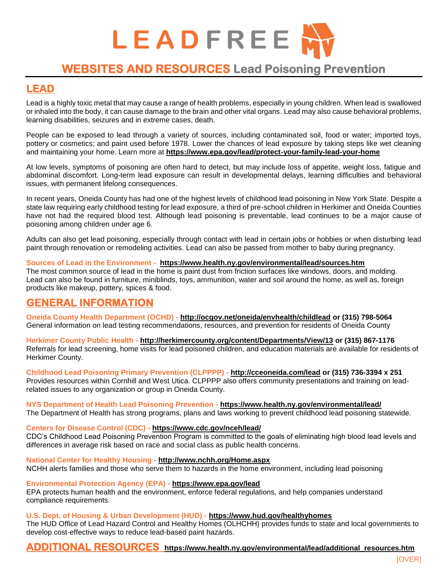

# **WEBSITES AND RESOURCES Lead Poisoning Prevention**

### **LEAD**

Lead is a highly toxic metal that may cause a range of health problems, especially in young children. When lead is swallowed or inhaled into the body, it can cause damage to the brain and other vital organs. Lead may also cause behavioral problems, learning disabilities, seizures and in extreme cases, death.

People can be exposed to lead through a variety of sources, including contaminated soil, food or water; imported toys, pottery or cosmetics; and paint used before 1978. Lower the chances of lead exposure by taking steps like wet cleaning and maintaining your home. Learn more at **<https://www.epa.gov/lead/protect-your-family-lead-your-home>**

At low levels, symptoms of poisoning are often hard to detect, but may include loss of appetite, weight loss, fatigue and abdominal discomfort. Long-term lead exposure can result in developmental delays, learning difficulties and behavioral issues, with permanent lifelong consequences.

In recent years, Oneida County has had one of the highest levels of childhood lead poisoning in New York State. Despite a state law requiring early childhood testing for lead exposure, a third of pre-school children in Herkimer and Oneida Counties have not had the required blood test. Although lead poisoning is preventable, lead continues to be a major cause of poisoning among children under age 6.

[Adults can also get lead poisoning,](https://www.health.ny.gov/environmental/lead/adult_groups.htm) especially through contact with lead in certain jobs or hobbies or when disturbing lead paint through [renovation or remodeling activities.](https://www.health.ny.gov/environmental/lead/renovation_repair_painting/) Lead can also be passed from mother to baby during pregnancy.

#### **Sources of Lead in the Environment - <https://www.health.ny.gov/environmental/lead/sources.htm>**

The most common source of lead in the home is paint dust from friction surfaces like windows, doors, and molding. Lead can also be found in furniture, miniblinds, toys, ammunition, water and soil around the home, as well as, foreign products like makeup, pottery, spices & food.

### **GENERAL INFORMATION**

**Oneida County Health Department (OCHD) - <http://ocgov.net/oneida/envhealth/childlead> or (315) 798-5064** General information on lead testing recommendations, resources, and prevention for residents of Oneida County

**Herkimer County Public Health - <http://herkimercounty.org/content/Departments/View/13> or (315) 867-1176** Referrals for lead screening, home visits for lead poisoned children, and education materials are available for residents of Herkimer County.

**Childhood Lead Poisoning Primary Prevention (CLPPPP) - <http://cceoneida.com/lead> or (315) 736-3394 x 251** Provides resources within Cornhill and West Utica. CLPPPP also offers community presentations and training on leadrelated issues to any organization or group in Oneida County.

**NYS Department of Health Lead Poisoning Prevention - <https://www.health.ny.gov/environmental/lead/>** The Department of Health has strong programs, plans and [laws](https://www.health.ny.gov/environmental/lead/laws_and_regulations/) working to prevent childhood lead poisoning statewide.

#### **Centers for Disease Control (CDC) - <https://www.cdc.gov/nceh/lead/>**

CDC's Childhood Lead Poisoning Prevention Program is committed to the goals of eliminating high blood lead levels and differences in average risk based on race and social class as public health concerns.

**National Center for Healthy Housing - <http://www.nchh.org/Home.aspx>** NCHH alerts families and those who serve them to hazards in the home environment, including lead poisoning

**Environmental Protection Agency (EPA) - <https://www.epa.gov/lead>**

EPA protects human health and the environment, enforce federal regulations, and help companies understand compliance requirements.

#### **U.S. Dept. of Housing & Urban Development (HUD) - <https://www.hud.gov/healthyhomes>**

The HUD Office of Lead Hazard Control and Healthy Homes (OLHCHH) provides funds to state and local governments to develop cost-effective ways to reduce lead-based paint hazards.

### **ADDITIONAL RESOURCES [https://www.health.ny.gov/environmental/lead/additional\\_resources.htm](https://www.health.ny.gov/environmental/lead/additional_resources.htm)**

[OVER]